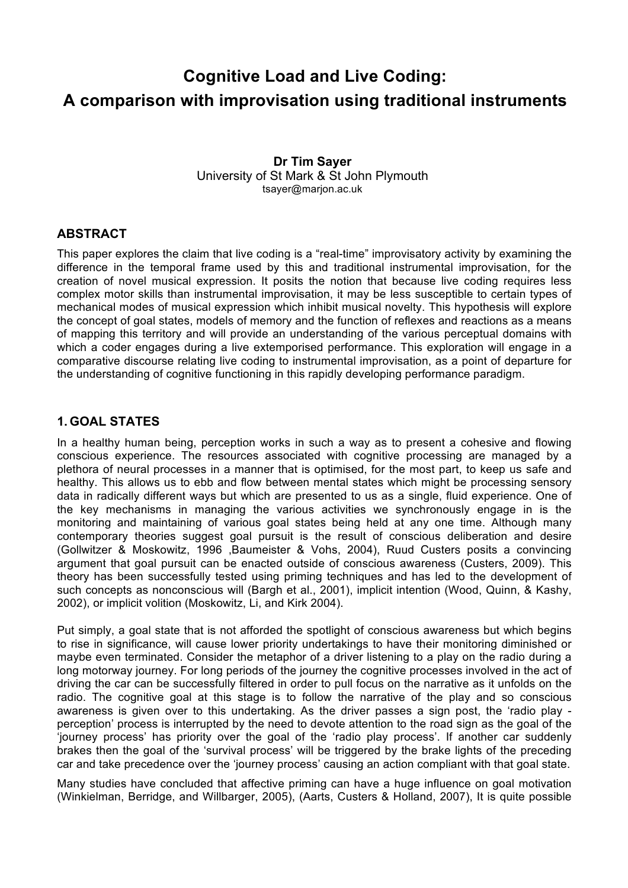# **Cognitive Load and Live Coding: A comparison with improvisation using traditional instruments**

**Dr Tim Sayer** University of St Mark & St John Plymouth tsayer@marjon.ac.uk

#### **ABSTRACT**

This paper explores the claim that live coding is a "real-time" improvisatory activity by examining the difference in the temporal frame used by this and traditional instrumental improvisation, for the creation of novel musical expression. It posits the notion that because live coding requires less complex motor skills than instrumental improvisation, it may be less susceptible to certain types of mechanical modes of musical expression which inhibit musical novelty. This hypothesis will explore the concept of goal states, models of memory and the function of reflexes and reactions as a means of mapping this territory and will provide an understanding of the various perceptual domains with which a coder engages during a live extemporised performance. This exploration will engage in a comparative discourse relating live coding to instrumental improvisation, as a point of departure for the understanding of cognitive functioning in this rapidly developing performance paradigm.

#### **1. GOAL STATES**

In a healthy human being, perception works in such a way as to present a cohesive and flowing conscious experience. The resources associated with cognitive processing are managed by a plethora of neural processes in a manner that is optimised, for the most part, to keep us safe and healthy. This allows us to ebb and flow between mental states which might be processing sensory data in radically different ways but which are presented to us as a single, fluid experience. One of the key mechanisms in managing the various activities we synchronously engage in is the monitoring and maintaining of various goal states being held at any one time. Although many contemporary theories suggest goal pursuit is the result of conscious deliberation and desire (Gollwitzer & Moskowitz, 1996 ,Baumeister & Vohs, 2004), Ruud Custers posits a convincing argument that goal pursuit can be enacted outside of conscious awareness (Custers, 2009). This theory has been successfully tested using priming techniques and has led to the development of such concepts as nonconscious will (Bargh et al., 2001), implicit intention (Wood, Quinn, & Kashy, 2002), or implicit volition (Moskowitz, Li, and Kirk 2004).

Put simply, a goal state that is not afforded the spotlight of conscious awareness but which begins to rise in significance, will cause lower priority undertakings to have their monitoring diminished or maybe even terminated. Consider the metaphor of a driver listening to a play on the radio during a long motorway journey. For long periods of the journey the cognitive processes involved in the act of driving the car can be successfully filtered in order to pull focus on the narrative as it unfolds on the radio. The cognitive goal at this stage is to follow the narrative of the play and so conscious awareness is given over to this undertaking. As the driver passes a sign post, the 'radio play perception' process is interrupted by the need to devote attention to the road sign as the goal of the 'journey process' has priority over the goal of the 'radio play process'. If another car suddenly brakes then the goal of the 'survival process' will be triggered by the brake lights of the preceding car and take precedence over the 'journey process' causing an action compliant with that goal state.

Many studies have concluded that affective priming can have a huge influence on goal motivation (Winkielman, Berridge, and Willbarger, 2005), (Aarts, Custers & Holland, 2007), It is quite possible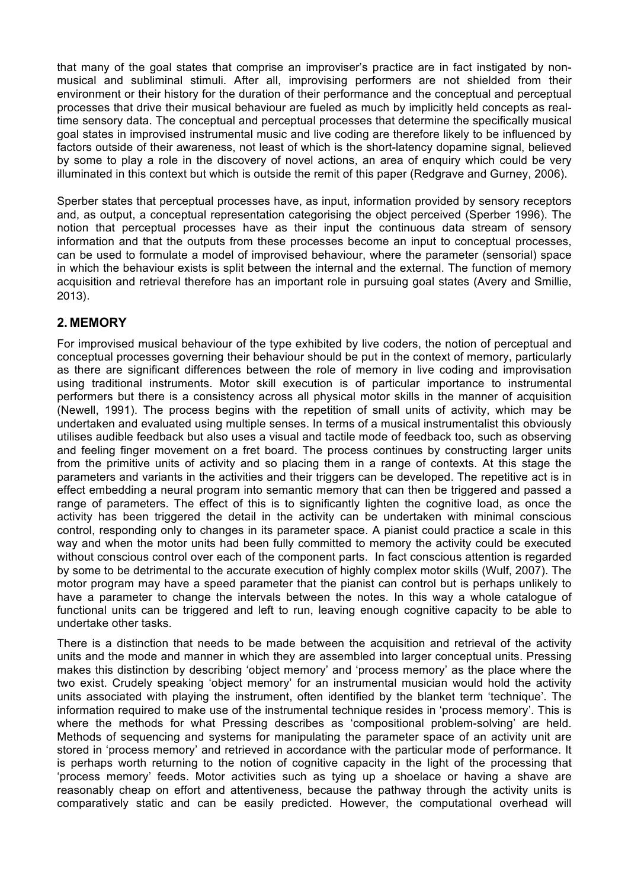that many of the goal states that comprise an improviser's practice are in fact instigated by nonmusical and subliminal stimuli. After all, improvising performers are not shielded from their environment or their history for the duration of their performance and the conceptual and perceptual processes that drive their musical behaviour are fueled as much by implicitly held concepts as realtime sensory data. The conceptual and perceptual processes that determine the specifically musical goal states in improvised instrumental music and live coding are therefore likely to be influenced by factors outside of their awareness, not least of which is the short-latency dopamine signal, believed by some to play a role in the discovery of novel actions, an area of enquiry which could be very illuminated in this context but which is outside the remit of this paper (Redgrave and Gurney, 2006).

Sperber states that perceptual processes have, as input, information provided by sensory receptors and, as output, a conceptual representation categorising the object perceived (Sperber 1996). The notion that perceptual processes have as their input the continuous data stream of sensory information and that the outputs from these processes become an input to conceptual processes, can be used to formulate a model of improvised behaviour, where the parameter (sensorial) space in which the behaviour exists is split between the internal and the external. The function of memory acquisition and retrieval therefore has an important role in pursuing goal states (Avery and Smillie, 2013).

## **2. MEMORY**

For improvised musical behaviour of the type exhibited by live coders, the notion of perceptual and conceptual processes governing their behaviour should be put in the context of memory, particularly as there are significant differences between the role of memory in live coding and improvisation using traditional instruments. Motor skill execution is of particular importance to instrumental performers but there is a consistency across all physical motor skills in the manner of acquisition (Newell, 1991). The process begins with the repetition of small units of activity, which may be undertaken and evaluated using multiple senses. In terms of a musical instrumentalist this obviously utilises audible feedback but also uses a visual and tactile mode of feedback too, such as observing and feeling finger movement on a fret board. The process continues by constructing larger units from the primitive units of activity and so placing them in a range of contexts. At this stage the parameters and variants in the activities and their triggers can be developed. The repetitive act is in effect embedding a neural program into semantic memory that can then be triggered and passed a range of parameters. The effect of this is to significantly lighten the cognitive load, as once the activity has been triggered the detail in the activity can be undertaken with minimal conscious control, responding only to changes in its parameter space. A pianist could practice a scale in this way and when the motor units had been fully committed to memory the activity could be executed without conscious control over each of the component parts. In fact conscious attention is regarded by some to be detrimental to the accurate execution of highly complex motor skills (Wulf, 2007). The motor program may have a speed parameter that the pianist can control but is perhaps unlikely to have a parameter to change the intervals between the notes. In this way a whole catalogue of functional units can be triggered and left to run, leaving enough cognitive capacity to be able to undertake other tasks.

There is a distinction that needs to be made between the acquisition and retrieval of the activity units and the mode and manner in which they are assembled into larger conceptual units. Pressing makes this distinction by describing 'object memory' and 'process memory' as the place where the two exist. Crudely speaking 'object memory' for an instrumental musician would hold the activity units associated with playing the instrument, often identified by the blanket term 'technique'. The information required to make use of the instrumental technique resides in 'process memory'. This is where the methods for what Pressing describes as 'compositional problem-solving' are held. Methods of sequencing and systems for manipulating the parameter space of an activity unit are stored in 'process memory' and retrieved in accordance with the particular mode of performance. It is perhaps worth returning to the notion of cognitive capacity in the light of the processing that 'process memory' feeds. Motor activities such as tying up a shoelace or having a shave are reasonably cheap on effort and attentiveness, because the pathway through the activity units is comparatively static and can be easily predicted. However, the computational overhead will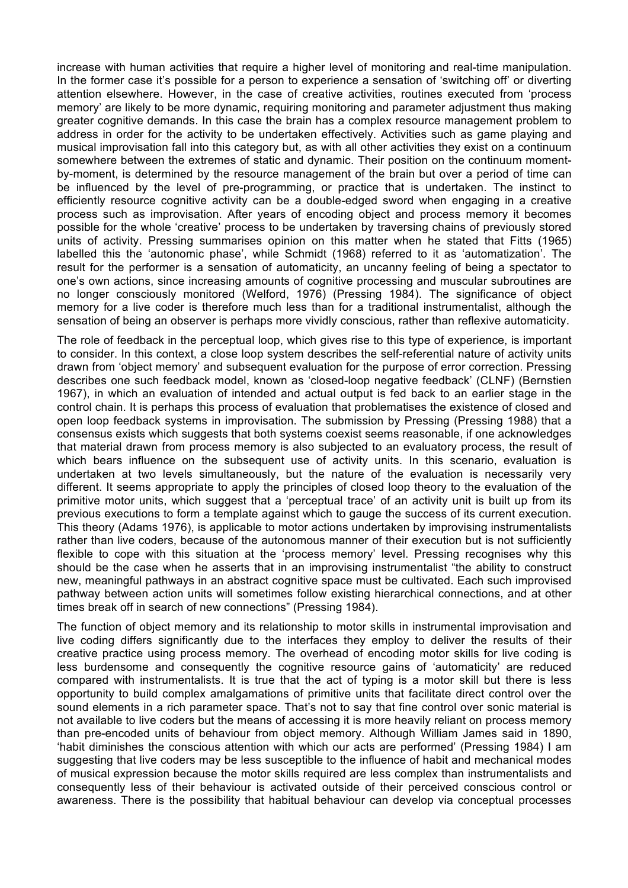increase with human activities that require a higher level of monitoring and real-time manipulation. In the former case it's possible for a person to experience a sensation of 'switching off' or diverting attention elsewhere. However, in the case of creative activities, routines executed from 'process memory' are likely to be more dynamic, requiring monitoring and parameter adjustment thus making greater cognitive demands. In this case the brain has a complex resource management problem to address in order for the activity to be undertaken effectively. Activities such as game playing and musical improvisation fall into this category but, as with all other activities they exist on a continuum somewhere between the extremes of static and dynamic. Their position on the continuum momentby-moment, is determined by the resource management of the brain but over a period of time can be influenced by the level of pre-programming, or practice that is undertaken. The instinct to efficiently resource cognitive activity can be a double-edged sword when engaging in a creative process such as improvisation. After years of encoding object and process memory it becomes possible for the whole 'creative' process to be undertaken by traversing chains of previously stored units of activity. Pressing summarises opinion on this matter when he stated that Fitts (1965) labelled this the 'autonomic phase', while Schmidt (1968) referred to it as 'automatization'. The result for the performer is a sensation of automaticity, an uncanny feeling of being a spectator to one's own actions, since increasing amounts of cognitive processing and muscular subroutines are no longer consciously monitored (Welford, 1976) (Pressing 1984). The significance of object memory for a live coder is therefore much less than for a traditional instrumentalist, although the sensation of being an observer is perhaps more vividly conscious, rather than reflexive automaticity.

The role of feedback in the perceptual loop, which gives rise to this type of experience, is important to consider. In this context, a close loop system describes the self-referential nature of activity units drawn from 'object memory' and subsequent evaluation for the purpose of error correction. Pressing describes one such feedback model, known as 'closed-loop negative feedback' (CLNF) (Bernstien 1967), in which an evaluation of intended and actual output is fed back to an earlier stage in the control chain. It is perhaps this process of evaluation that problematises the existence of closed and open loop feedback systems in improvisation. The submission by Pressing (Pressing 1988) that a consensus exists which suggests that both systems coexist seems reasonable, if one acknowledges that material drawn from process memory is also subjected to an evaluatory process, the result of which bears influence on the subsequent use of activity units. In this scenario, evaluation is undertaken at two levels simultaneously, but the nature of the evaluation is necessarily very different. It seems appropriate to apply the principles of closed loop theory to the evaluation of the primitive motor units, which suggest that a 'perceptual trace' of an activity unit is built up from its previous executions to form a template against which to gauge the success of its current execution. This theory (Adams 1976), is applicable to motor actions undertaken by improvising instrumentalists rather than live coders, because of the autonomous manner of their execution but is not sufficiently flexible to cope with this situation at the 'process memory' level. Pressing recognises why this should be the case when he asserts that in an improvising instrumentalist "the ability to construct new, meaningful pathways in an abstract cognitive space must be cultivated. Each such improvised pathway between action units will sometimes follow existing hierarchical connections, and at other times break off in search of new connections" (Pressing 1984).

The function of object memory and its relationship to motor skills in instrumental improvisation and live coding differs significantly due to the interfaces they employ to deliver the results of their creative practice using process memory. The overhead of encoding motor skills for live coding is less burdensome and consequently the cognitive resource gains of 'automaticity' are reduced compared with instrumentalists. It is true that the act of typing is a motor skill but there is less opportunity to build complex amalgamations of primitive units that facilitate direct control over the sound elements in a rich parameter space. That's not to say that fine control over sonic material is not available to live coders but the means of accessing it is more heavily reliant on process memory than pre-encoded units of behaviour from object memory. Although William James said in 1890, 'habit diminishes the conscious attention with which our acts are performed' (Pressing 1984) I am suggesting that live coders may be less susceptible to the influence of habit and mechanical modes of musical expression because the motor skills required are less complex than instrumentalists and consequently less of their behaviour is activated outside of their perceived conscious control or awareness. There is the possibility that habitual behaviour can develop via conceptual processes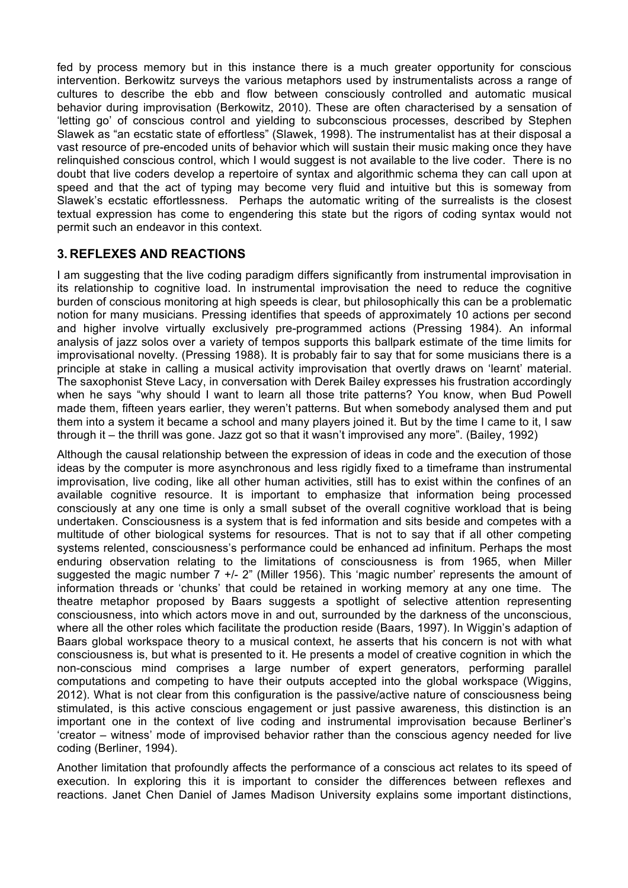fed by process memory but in this instance there is a much greater opportunity for conscious intervention. Berkowitz surveys the various metaphors used by instrumentalists across a range of cultures to describe the ebb and flow between consciously controlled and automatic musical behavior during improvisation (Berkowitz, 2010). These are often characterised by a sensation of 'letting go' of conscious control and yielding to subconscious processes, described by Stephen Slawek as "an ecstatic state of effortless" (Slawek, 1998). The instrumentalist has at their disposal a vast resource of pre-encoded units of behavior which will sustain their music making once they have relinquished conscious control, which I would suggest is not available to the live coder. There is no doubt that live coders develop a repertoire of syntax and algorithmic schema they can call upon at speed and that the act of typing may become very fluid and intuitive but this is someway from Slawek's ecstatic effortlessness. Perhaps the automatic writing of the surrealists is the closest textual expression has come to engendering this state but the rigors of coding syntax would not permit such an endeavor in this context.

## **3. REFLEXES AND REACTIONS**

I am suggesting that the live coding paradigm differs significantly from instrumental improvisation in its relationship to cognitive load. In instrumental improvisation the need to reduce the cognitive burden of conscious monitoring at high speeds is clear, but philosophically this can be a problematic notion for many musicians. Pressing identifies that speeds of approximately 10 actions per second and higher involve virtually exclusively pre-programmed actions (Pressing 1984). An informal analysis of jazz solos over a variety of tempos supports this ballpark estimate of the time limits for improvisational novelty. (Pressing 1988). It is probably fair to say that for some musicians there is a principle at stake in calling a musical activity improvisation that overtly draws on 'learnt' material. The saxophonist Steve Lacy, in conversation with Derek Bailey expresses his frustration accordingly when he says "why should I want to learn all those trite patterns? You know, when Bud Powell made them, fifteen years earlier, they weren't patterns. But when somebody analysed them and put them into a system it became a school and many players joined it. But by the time I came to it, I saw through it – the thrill was gone. Jazz got so that it wasn't improvised any more". (Bailey, 1992)

Although the causal relationship between the expression of ideas in code and the execution of those ideas by the computer is more asynchronous and less rigidly fixed to a timeframe than instrumental improvisation, live coding, like all other human activities, still has to exist within the confines of an available cognitive resource. It is important to emphasize that information being processed consciously at any one time is only a small subset of the overall cognitive workload that is being undertaken. Consciousness is a system that is fed information and sits beside and competes with a multitude of other biological systems for resources. That is not to say that if all other competing systems relented, consciousness's performance could be enhanced ad infinitum. Perhaps the most enduring observation relating to the limitations of consciousness is from 1965, when Miller suggested the magic number 7 +/- 2" (Miller 1956). This 'magic number' represents the amount of information threads or 'chunks' that could be retained in working memory at any one time. The theatre metaphor proposed by Baars suggests a spotlight of selective attention representing consciousness, into which actors move in and out, surrounded by the darkness of the unconscious, where all the other roles which facilitate the production reside (Baars, 1997). In Wiggin's adaption of Baars global workspace theory to a musical context, he asserts that his concern is not with what consciousness is, but what is presented to it. He presents a model of creative cognition in which the non-conscious mind comprises a large number of expert generators, performing parallel computations and competing to have their outputs accepted into the global workspace (Wiggins, 2012). What is not clear from this configuration is the passive/active nature of consciousness being stimulated, is this active conscious engagement or just passive awareness, this distinction is an important one in the context of live coding and instrumental improvisation because Berliner's 'creator – witness' mode of improvised behavior rather than the conscious agency needed for live coding (Berliner, 1994).

Another limitation that profoundly affects the performance of a conscious act relates to its speed of execution. In exploring this it is important to consider the differences between reflexes and reactions. Janet Chen Daniel of James Madison University explains some important distinctions,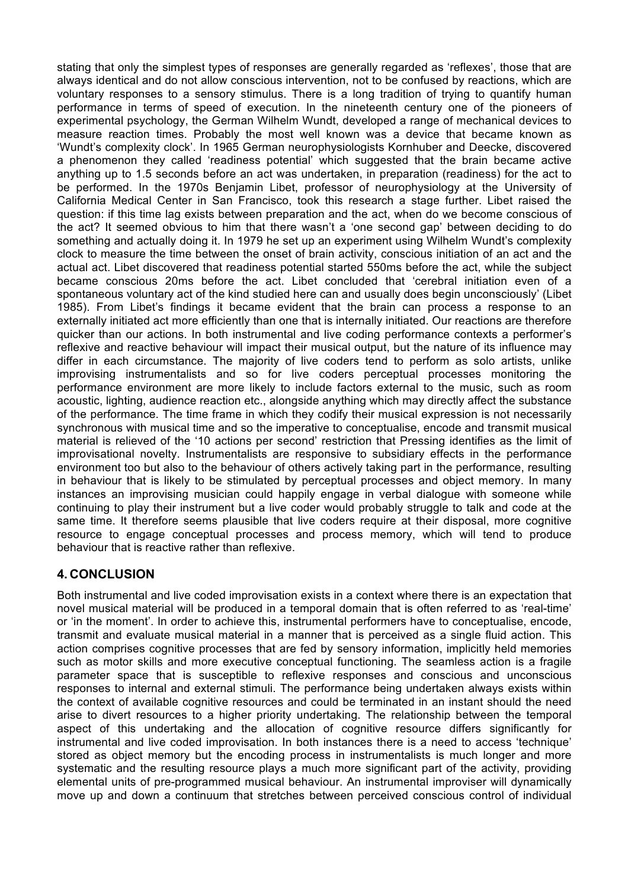stating that only the simplest types of responses are generally regarded as 'reflexes', those that are always identical and do not allow conscious intervention, not to be confused by reactions, which are voluntary responses to a sensory stimulus. There is a long tradition of trying to quantify human performance in terms of speed of execution. In the nineteenth century one of the pioneers of experimental psychology, the German Wilhelm Wundt, developed a range of mechanical devices to measure reaction times. Probably the most well known was a device that became known as 'Wundt's complexity clock'. In 1965 German neurophysiologists Kornhuber and Deecke, discovered a phenomenon they called 'readiness potential' which suggested that the brain became active anything up to 1.5 seconds before an act was undertaken, in preparation (readiness) for the act to be performed. In the 1970s Benjamin Libet, professor of neurophysiology at the University of California Medical Center in San Francisco, took this research a stage further. Libet raised the question: if this time lag exists between preparation and the act, when do we become conscious of the act? It seemed obvious to him that there wasn't a 'one second gap' between deciding to do something and actually doing it. In 1979 he set up an experiment using Wilhelm Wundt's complexity clock to measure the time between the onset of brain activity, conscious initiation of an act and the actual act. Libet discovered that readiness potential started 550ms before the act, while the subject became conscious 20ms before the act. Libet concluded that 'cerebral initiation even of a spontaneous voluntary act of the kind studied here can and usually does begin unconsciously' (Libet 1985). From Libet's findings it became evident that the brain can process a response to an externally initiated act more efficiently than one that is internally initiated. Our reactions are therefore quicker than our actions. In both instrumental and live coding performance contexts a performer's reflexive and reactive behaviour will impact their musical output, but the nature of its influence may differ in each circumstance. The majority of live coders tend to perform as solo artists, unlike improvising instrumentalists and so for live coders perceptual processes monitoring the performance environment are more likely to include factors external to the music, such as room acoustic, lighting, audience reaction etc., alongside anything which may directly affect the substance of the performance. The time frame in which they codify their musical expression is not necessarily synchronous with musical time and so the imperative to conceptualise, encode and transmit musical material is relieved of the '10 actions per second' restriction that Pressing identifies as the limit of improvisational novelty. Instrumentalists are responsive to subsidiary effects in the performance environment too but also to the behaviour of others actively taking part in the performance, resulting in behaviour that is likely to be stimulated by perceptual processes and object memory. In many instances an improvising musician could happily engage in verbal dialogue with someone while continuing to play their instrument but a live coder would probably struggle to talk and code at the same time. It therefore seems plausible that live coders require at their disposal, more cognitive resource to engage conceptual processes and process memory, which will tend to produce behaviour that is reactive rather than reflexive.

## **4. CONCLUSION**

Both instrumental and live coded improvisation exists in a context where there is an expectation that novel musical material will be produced in a temporal domain that is often referred to as 'real-time' or 'in the moment'. In order to achieve this, instrumental performers have to conceptualise, encode, transmit and evaluate musical material in a manner that is perceived as a single fluid action. This action comprises cognitive processes that are fed by sensory information, implicitly held memories such as motor skills and more executive conceptual functioning. The seamless action is a fragile parameter space that is susceptible to reflexive responses and conscious and unconscious responses to internal and external stimuli. The performance being undertaken always exists within the context of available cognitive resources and could be terminated in an instant should the need arise to divert resources to a higher priority undertaking. The relationship between the temporal aspect of this undertaking and the allocation of cognitive resource differs significantly for instrumental and live coded improvisation. In both instances there is a need to access 'technique' stored as object memory but the encoding process in instrumentalists is much longer and more systematic and the resulting resource plays a much more significant part of the activity, providing elemental units of pre-programmed musical behaviour. An instrumental improviser will dynamically move up and down a continuum that stretches between perceived conscious control of individual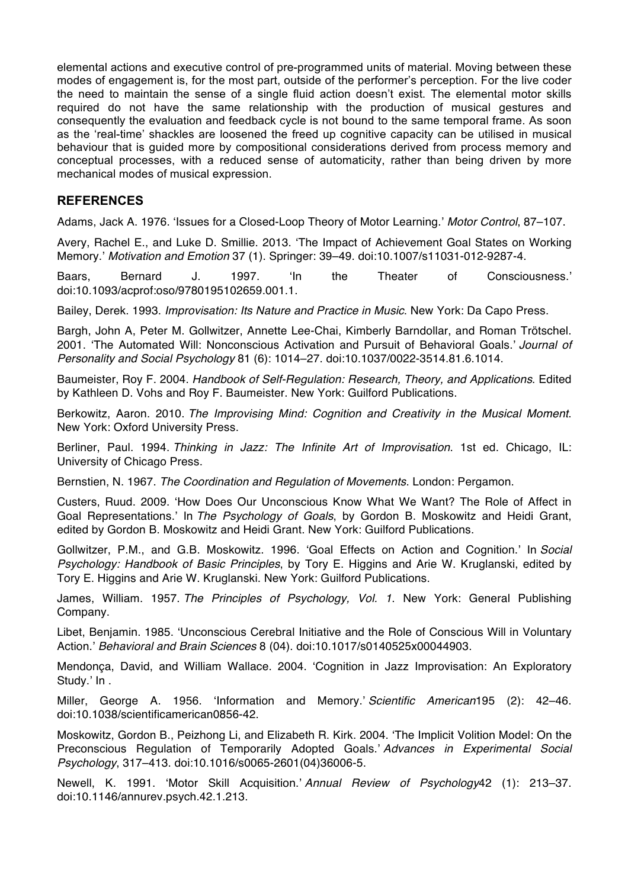elemental actions and executive control of pre-programmed units of material. Moving between these modes of engagement is, for the most part, outside of the performer's perception. For the live coder the need to maintain the sense of a single fluid action doesn't exist. The elemental motor skills required do not have the same relationship with the production of musical gestures and consequently the evaluation and feedback cycle is not bound to the same temporal frame. As soon as the 'real-time' shackles are loosened the freed up cognitive capacity can be utilised in musical behaviour that is guided more by compositional considerations derived from process memory and conceptual processes, with a reduced sense of automaticity, rather than being driven by more mechanical modes of musical expression.

#### **REFERENCES**

Adams, Jack A. 1976. 'Issues for a Closed-Loop Theory of Motor Learning.' *Motor Control*, 87–107.

Avery, Rachel E., and Luke D. Smillie. 2013. 'The Impact of Achievement Goal States on Working Memory.' *Motivation and Emotion* 37 (1). Springer: 39–49. doi:10.1007/s11031-012-9287-4.

Baars, Bernard J. 1997. 'In the Theater of Consciousness.' doi:10.1093/acprof:oso/9780195102659.001.1.

Bailey, Derek. 1993. *Improvisation: Its Nature and Practice in Music*. New York: Da Capo Press.

Bargh, John A, Peter M. Gollwitzer, Annette Lee-Chai, Kimberly Barndollar, and Roman Trötschel. 2001. 'The Automated Will: Nonconscious Activation and Pursuit of Behavioral Goals.' *Journal of Personality and Social Psychology* 81 (6): 1014–27. doi:10.1037/0022-3514.81.6.1014.

Baumeister, Roy F. 2004. *Handbook of Self-Regulation: Research, Theory, and Applications*. Edited by Kathleen D. Vohs and Roy F. Baumeister. New York: Guilford Publications.

Berkowitz, Aaron. 2010. *The Improvising Mind: Cognition and Creativity in the Musical Moment*. New York: Oxford University Press.

Berliner, Paul. 1994. *Thinking in Jazz: The Infinite Art of Improvisation*. 1st ed. Chicago, IL: University of Chicago Press.

Bernstien, N. 1967. *The Coordination and Regulation of Movements*. London: Pergamon.

Custers, Ruud. 2009. 'How Does Our Unconscious Know What We Want? The Role of Affect in Goal Representations.' In *The Psychology of Goals*, by Gordon B. Moskowitz and Heidi Grant, edited by Gordon B. Moskowitz and Heidi Grant. New York: Guilford Publications.

Gollwitzer, P.M., and G.B. Moskowitz. 1996. 'Goal Effects on Action and Cognition.' In *Social Psychology: Handbook of Basic Principles*, by Tory E. Higgins and Arie W. Kruglanski, edited by Tory E. Higgins and Arie W. Kruglanski. New York: Guilford Publications.

James, William. 1957. *The Principles of Psychology, Vol. 1*. New York: General Publishing Company.

Libet, Benjamin. 1985. 'Unconscious Cerebral Initiative and the Role of Conscious Will in Voluntary Action.' *Behavioral and Brain Sciences* 8 (04). doi:10.1017/s0140525x00044903.

Mendonça, David, and William Wallace. 2004. 'Cognition in Jazz Improvisation: An Exploratory Study.' In .

Miller, George A. 1956. 'Information and Memory.' *Scientific American*195 (2): 42–46. doi:10.1038/scientificamerican0856-42.

Moskowitz, Gordon B., Peizhong Li, and Elizabeth R. Kirk. 2004. 'The Implicit Volition Model: On the Preconscious Regulation of Temporarily Adopted Goals.' *Advances in Experimental Social Psychology*, 317–413. doi:10.1016/s0065-2601(04)36006-5.

Newell, K. 1991. 'Motor Skill Acquisition.' *Annual Review of Psychology*42 (1): 213–37. doi:10.1146/annurev.psych.42.1.213.